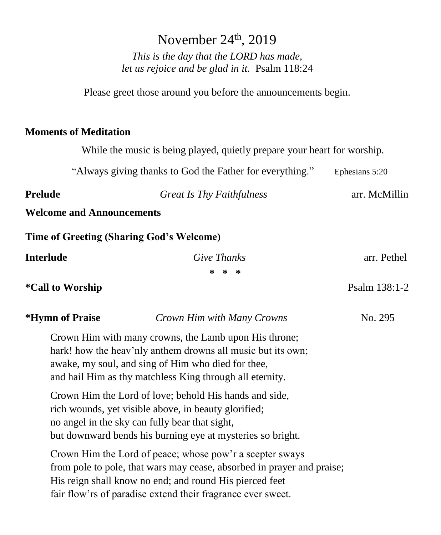# November  $24<sup>th</sup>$ , 2019 *This is the day that the LORD has made, let us rejoice and be glad in it.* Psalm 118:24 Please greet those around you before the announcements begin. **Moments of Meditation**  While the music is being played, quietly prepare your heart for worship. "Always giving thanks to God the Father for everything." Ephesians 5:20 **Prelude** *Great Is Thy Faithfulness* arr. McMillin **Welcome and Announcements Time of Greeting (Sharing God's Welcome) Interlude** *Give Thanks* arr. Pethel **\* \* \*** **\*Call to Worship Psalm 138:1-2 Psalm 138:1-2 \*Hymn of Praise** *Crown Him with Many Crowns* No. 295 Crown Him with many crowns, the Lamb upon His throne; hark! how the heav'nly anthem drowns all music but its own; awake, my soul, and sing of Him who died for thee, and hail Him as thy matchless King through all eternity. Crown Him the Lord of love; behold His hands and side, rich wounds, yet visible above, in beauty glorified; no angel in the sky can fully bear that sight, but downward bends his burning eye at mysteries so bright. Crown Him the Lord of peace; whose pow'r a scepter sways

from pole to pole, that wars may cease, absorbed in prayer and praise; His reign shall know no end; and round His pierced feet fair flow'rs of paradise extend their fragrance ever sweet.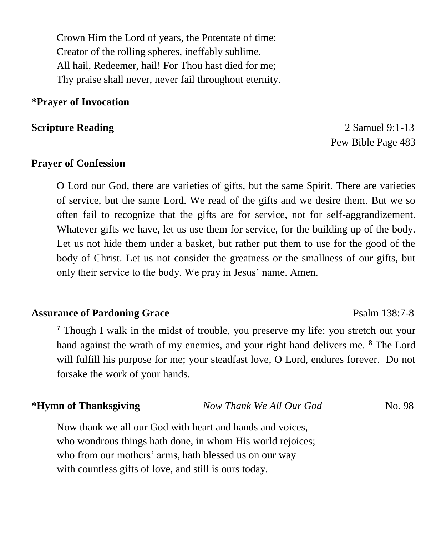Crown Him the Lord of years, the Potentate of time; Creator of the rolling spheres, ineffably sublime. All hail, Redeemer, hail! For Thou hast died for me; Thy praise shall never, never fail throughout eternity.

#### **\*Prayer of Invocation**

**Scripture Reading 2 Samuel 9:1-13** Pew Bible Page 483

#### **Prayer of Confession**

O Lord our God, there are varieties of gifts, but the same Spirit. There are varieties of service, but the same Lord. We read of the gifts and we desire them. But we so often fail to recognize that the gifts are for service, not for self-aggrandizement. Whatever gifts we have, let us use them for service, for the building up of the body. Let us not hide them under a basket, but rather put them to use for the good of the body of Christ. Let us not consider the greatness or the smallness of our gifts, but only their service to the body. We pray in Jesus' name. Amen.

#### **Assurance of Pardoning Grace** Psalm 138:7-8

**<sup>7</sup>** Though I walk in the midst of trouble, you preserve my life; you stretch out your hand against the wrath of my enemies, and your right hand delivers me. **<sup>8</sup>** The Lord will fulfill his purpose for me; your steadfast love, O Lord, endures forever. Do not forsake the work of your hands.

**\*Hymn of Thanksgiving** *Now Thank We All Our God* No. 98

Now thank we all our God with heart and hands and voices, who wondrous things hath done, in whom His world rejoices; who from our mothers' arms, hath blessed us on our way with countless gifts of love, and still is ours today.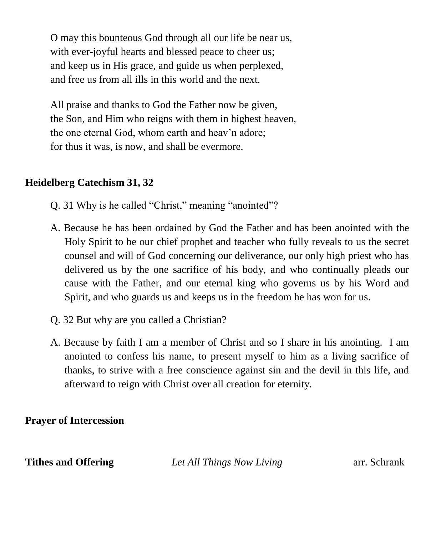O may this bounteous God through all our life be near us, with ever-joyful hearts and blessed peace to cheer us; and keep us in His grace, and guide us when perplexed, and free us from all ills in this world and the next.

All praise and thanks to God the Father now be given, the Son, and Him who reigns with them in highest heaven, the one eternal God, whom earth and heav'n adore; for thus it was, is now, and shall be evermore.

#### **Heidelberg Catechism 31, 32**

- Q. 31 Why is he called "Christ," meaning "anointed"?
- A. Because he has been ordained by God the Father and has been anointed with the Holy Spirit to be our chief prophet and teacher who fully reveals to us the secret counsel and will of God concerning our deliverance, our only high priest who has delivered us by the one sacrifice of his body, and who continually pleads our cause with the Father, and our eternal king who governs us by his Word and Spirit, and who guards us and keeps us in the freedom he has won for us.
- Q. 32 But why are you called a Christian?
- A. Because by faith I am a member of Christ and so I share in his anointing. I am anointed to confess his name, to present myself to him as a living sacrifice of thanks, to strive with a free conscience against sin and the devil in this life, and afterward to reign with Christ over all creation for eternity.

#### **Prayer of Intercession**

**Tithes and Offering** *Let All Things Now Living* arr. Schrank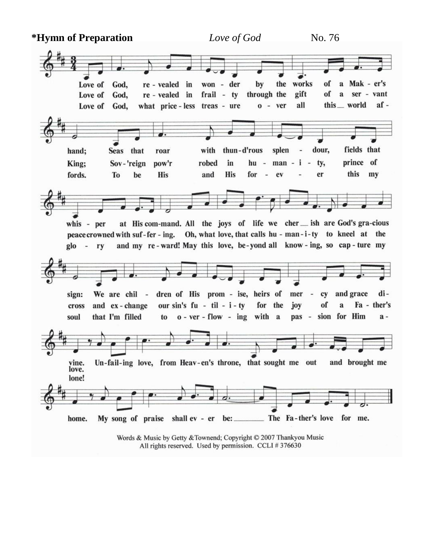**\*Hymn of Preparation** *Love of God* No. 76 won - der the works of a Mak - er's Love of God, re - vealed in by gift of a ser - vant Love of God, re - vealed in frail - ty through the all this \_\_ world afwhat price-less treas - ure  $0 - ver$ Love of God. dour. fields that hand; Seas that roar with thun-d'rous splen  $\omega$ man - i prince of King; Sov-'reign pow'r robed in hu - $\sim$ ty, To **His** and **His** for  $\overline{\phantom{a}}$ er this  $m<sub>V</sub>$ fords. be ev at His com-mand. All the joys of life we cher \_\_ ish are God's gra-cious whis - per peace crowned with suf-fer-ing. Oh, what love, that calls hu - man-i-ty to kneel at the and my re-ward! May this love, be-yond all know-ing, so cap-ture my glo - ry and grace sign: We are chil dren of His prom - ise, heirs of mer  $\sim$ cy diof and ex-change our sin's  $fu - til - i - ty$ for the iov  $\mathbf a$ Fa - ther's cross that I'm filled  $o - ver - flow - ing with a$ pas - sion for Him  $a$ soul to Un-fail-ing love, from Heav-en's throne, that sought me out and brought me vine. love. lone! My song of praise shall ev - er be: The Fa-ther's love for me. home.

Words & Music by Getty & Townend; Copyright © 2007 Thankyou Music All rights reserved. Used by permission. CCLI #376630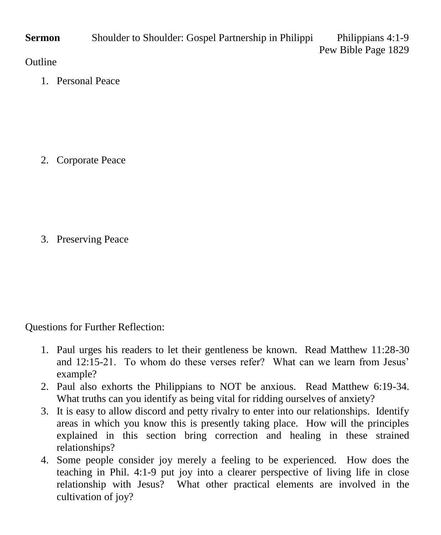**Sermon** Shoulder to Shoulder: Gospel Partnership in Philippi Philippians 4:1-9 Pew Bible Page 1829

### **Outline**

1. Personal Peace

2. Corporate Peace

3. Preserving Peace

Questions for Further Reflection:

- 1. Paul urges his readers to let their gentleness be known. Read Matthew 11:28-30 and 12:15-21. To whom do these verses refer? What can we learn from Jesus' example?
- 2. Paul also exhorts the Philippians to NOT be anxious. Read Matthew 6:19-34. What truths can you identify as being vital for ridding ourselves of anxiety?
- 3. It is easy to allow discord and petty rivalry to enter into our relationships. Identify areas in which you know this is presently taking place. How will the principles explained in this section bring correction and healing in these strained relationships?
- 4. Some people consider joy merely a feeling to be experienced. How does the teaching in Phil. 4:1-9 put joy into a clearer perspective of living life in close relationship with Jesus? What other practical elements are involved in the cultivation of joy?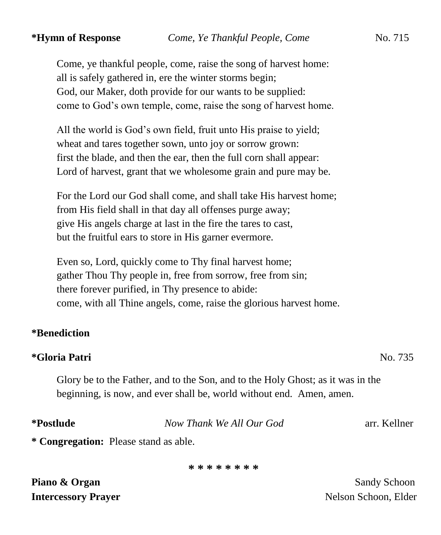Come, ye thankful people, come, raise the song of harvest home: all is safely gathered in, ere the winter storms begin; God, our Maker, doth provide for our wants to be supplied: come to God's own temple, come, raise the song of harvest home.

All the world is God's own field, fruit unto His praise to yield; wheat and tares together sown, unto joy or sorrow grown: first the blade, and then the ear, then the full corn shall appear: Lord of harvest, grant that we wholesome grain and pure may be.

For the Lord our God shall come, and shall take His harvest home; from His field shall in that day all offenses purge away; give His angels charge at last in the fire the tares to cast, but the fruitful ears to store in His garner evermore.

Even so, Lord, quickly come to Thy final harvest home; gather Thou Thy people in, free from sorrow, free from sin; there forever purified, in Thy presence to abide: come, with all Thine angels, come, raise the glorious harvest home.

#### **\*Benediction**

#### **\*Gloria Patri** No. 735

Glory be to the Father, and to the Son, and to the Holy Ghost; as it was in the beginning, is now, and ever shall be, world without end. Amen, amen.

**\*Postlude** *Now Thank We All Our God* arr. Kellner

**\* Congregation:** Please stand as able.

**\* \* \* \* \* \* \* \***

**Piano & Organ** Sandy Schoon **Sandy Schoon** 

**Intercessory Prayer** Nelson Schoon, Elder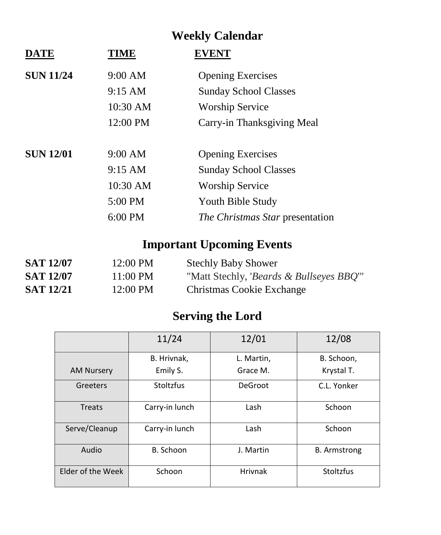## **Weekly Calendar**

| DATE             | TIME      | <b>EVENT</b>                           |
|------------------|-----------|----------------------------------------|
| <b>SUN 11/24</b> | 9:00 AM   | <b>Opening Exercises</b>               |
|                  | 9:15 AM   | <b>Sunday School Classes</b>           |
|                  | 10:30 AM  | <b>Worship Service</b>                 |
|                  | 12:00 PM  | Carry-in Thanksgiving Meal             |
|                  |           |                                        |
| <b>SUN 12/01</b> | 9:00 AM   | <b>Opening Exercises</b>               |
|                  | 9:15 AM   | <b>Sunday School Classes</b>           |
|                  | 10:30 AM  | <b>Worship Service</b>                 |
|                  | 5:00 PM   | Youth Bible Study                      |
|                  | $6:00$ PM | <i>The Christmas Star presentation</i> |

## **Important Upcoming Events**

| <b>SAT 12/07</b> | 12:00 PM           | <b>Stechly Baby Shower</b>                           |
|------------------|--------------------|------------------------------------------------------|
| <b>SAT 12/07</b> | $11:00 \text{ PM}$ | "Matt Stechly, <i>'Beards &amp; Bullseyes BBQ</i> '" |
| <b>SAT 12/21</b> | 12:00 PM           | Christmas Cookie Exchange                            |

## **Serving the Lord**

|                   | 11/24            | 12/01          | 12/08               |
|-------------------|------------------|----------------|---------------------|
|                   | B. Hrivnak,      | L. Martin,     | B. Schoon,          |
| <b>AM Nursery</b> | Emily S.         | Grace M.       | Krystal T.          |
| Greeters          | <b>Stoltzfus</b> | DeGroot        | C.L. Yonker         |
| Treats            | Carry-in lunch   | Lash           | Schoon              |
| Serve/Cleanup     | Carry-in lunch   | Lash           | Schoon              |
| Audio             | B. Schoon        | J. Martin      | <b>B.</b> Armstrong |
| Elder of the Week | Schoon           | <b>Hrivnak</b> | <b>Stoltzfus</b>    |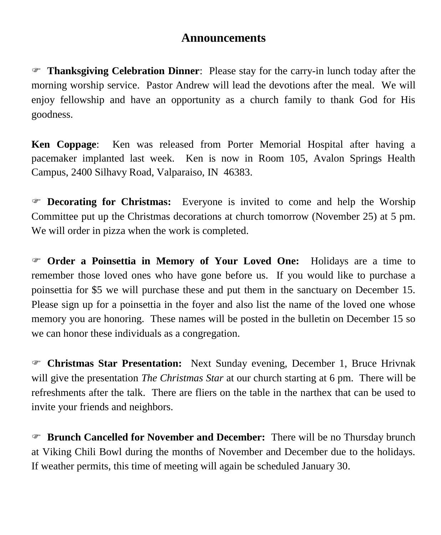### **Announcements**

 **Thanksgiving Celebration Dinner**: Please stay for the carry-in lunch today after the morning worship service. Pastor Andrew will lead the devotions after the meal. We will enjoy fellowship and have an opportunity as a church family to thank God for His goodness.

**Ken Coppage**: Ken was released from Porter Memorial Hospital after having a pacemaker implanted last week. Ken is now in Room 105, Avalon Springs Health Campus, 2400 Silhavy Road, Valparaiso, IN 46383.

 **Decorating for Christmas:** Everyone is invited to come and help the Worship Committee put up the Christmas decorations at church tomorrow (November 25) at 5 pm. We will order in pizza when the work is completed.

 **Order a Poinsettia in Memory of Your Loved One:** Holidays are a time to remember those loved ones who have gone before us. If you would like to purchase a poinsettia for \$5 we will purchase these and put them in the sanctuary on December 15. Please sign up for a poinsettia in the foyer and also list the name of the loved one whose memory you are honoring. These names will be posted in the bulletin on December 15 so we can honor these individuals as a congregation.

 **Christmas Star Presentation:** Next Sunday evening, December 1, Bruce Hrivnak will give the presentation *The Christmas Star* at our church starting at 6 pm. There will be refreshments after the talk. There are fliers on the table in the narthex that can be used to invite your friends and neighbors.

 **Brunch Cancelled for November and December:** There will be no Thursday brunch at Viking Chili Bowl during the months of November and December due to the holidays. If weather permits, this time of meeting will again be scheduled January 30.